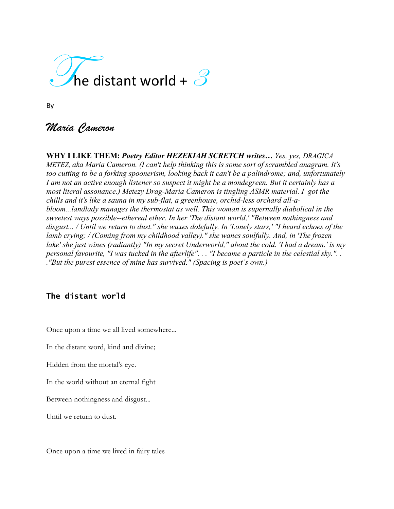

By

# *Maria Cameron*

**WHY I LIKE THEM:** *Poetry Editor HEZEKIAH SCRETCH writes… Yes, yes, DRAGICA METEZ, aka Maria Cameron. (I can't help thinking this is some sort of scrambled anagram. It's too cutting to be a forking spoonerism, looking back it can't be a palindrome; and, unfortunately I am not an active enough listener so suspect it might be a mondegreen. But it certainly has a most literal assonance.) Metezy Drag-Maria Cameron is tingling ASMR material. I got the chills and it's like a sauna in my sub-flat, a greenhouse, orchid-less orchard all-abloom...landlady manages the thermostat as well. This woman is supernally diabolical in the sweetest ways possible--ethereal ether. In her 'The distant world,' "Between nothingness and disgust... / Until we return to dust." she waxes dolefully. In 'Lonely stars,' "I heard echoes of the lamb crying; / (Coming from my childhood valley)." she wanes soulfully. And, in 'The frozen lake' she just wines (radiantly) "In my secret Underworld," about the cold. 'I had a dream.' is my personal favourite, "I was tucked in the afterlife". . . "I became a particle in the celestial sky.". . ."But the purest essence of mine has survived." (Spacing is poet's own.)*

# **The distant world**

Once upon a time we all lived somewhere...

In the distant word, kind and divine;

Hidden from the mortal's eye.

In the world without an eternal fight

Between nothingness and disgust...

Until we return to dust.

Once upon a time we lived in fairy tales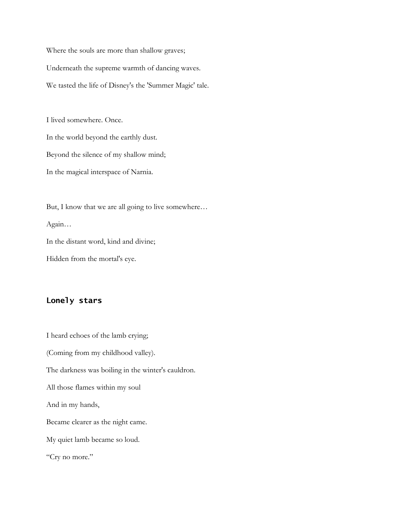Where the souls are more than shallow graves; Underneath the supreme warmth of dancing waves. We tasted the life of Disney's the 'Summer Magic' tale.

I lived somewhere. Once. In the world beyond the earthly dust. Beyond the silence of my shallow mind; In the magical interspace of Narnia.

But, I know that we are all going to live somewhere… Again… In the distant word, kind and divine; Hidden from the mortal's eye.

#### **Lonely stars**

I heard echoes of the lamb crying; (Coming from my childhood valley). The darkness was boiling in the winter's cauldron. All those flames within my soul And in my hands, Became clearer as the night came. My quiet lamb became so loud. "Cry no more."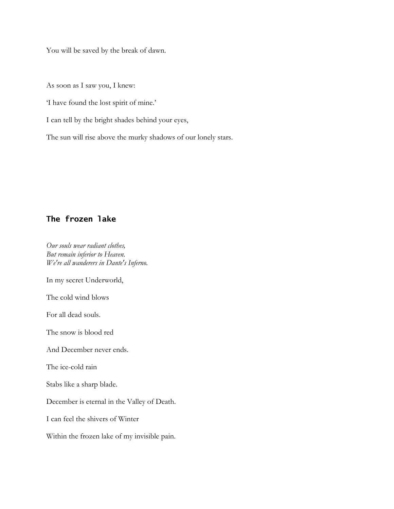You will be saved by the break of dawn.

As soon as I saw you, I knew:

'I have found the lost spirit of mine.'

I can tell by the bright shades behind your eyes,

The sun will rise above the murky shadows of our lonely stars.

### **The frozen lake**

*Our souls wear radiant clothes, But remain inferior to Heaven. We're all wanderers in Dante's Inferno.*

In my secret Underworld,

The cold wind blows

For all dead souls.

The snow is blood red

And December never ends.

The ice-cold rain

Stabs like a sharp blade.

December is eternal in the Valley of Death.

I can feel the shivers of Winter

Within the frozen lake of my invisible pain.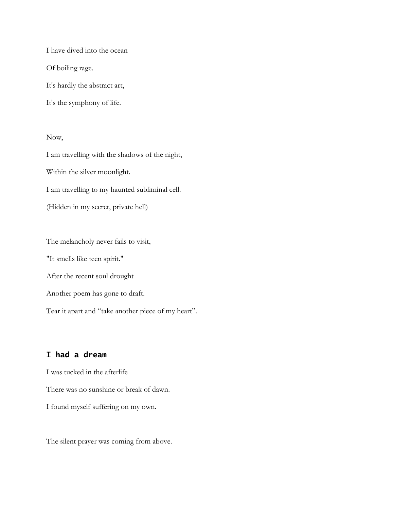I have dived into the ocean Of boiling rage.

It's hardly the abstract art,

It's the symphony of life.

Now,

I am travelling with the shadows of the night, Within the silver moonlight. I am travelling to my haunted subliminal cell. (Hidden in my secret, private hell)

The melancholy never fails to visit, "It smells like teen spirit." After the recent soul drought Another poem has gone to draft.

Tear it apart and "take another piece of my heart".

# **I had a dream**

I was tucked in the afterlife

There was no sunshine or break of dawn.

I found myself suffering on my own.

The silent prayer was coming from above.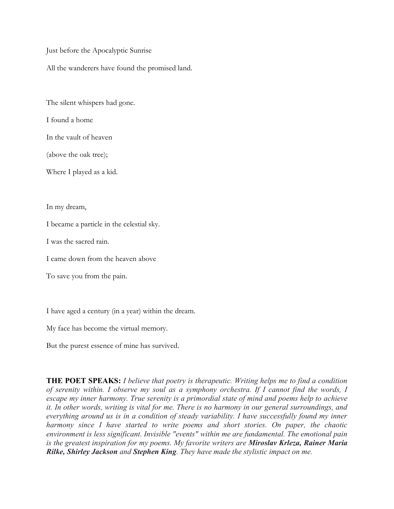Just before the Apocalyptic Sunrise

All the wanderers have found the promised land.

The silent whispers had gone.

I found a home

In the vault of heaven

(above the oak tree);

Where I played as a kid.

In my dream,

I became a particle in the celestial sky.

I was the sacred rain.

I came down from the heaven above

To save you from the pain.

I have aged a century (in a year) within the dream.

My face has become the virtual memory.

But the purest essence of mine has survived.

**THE POET SPEAKS:** *I believe that poetry is therapeutic. Writing helps me to find a condition of serenity within. I observe my soul as a symphony orchestra. If I cannot find the words, I escape my inner harmony. True serenity is a primordial state of mind and poems help to achieve it. In other words, writing is vital for me. There is no harmony in our general surroundings, and everything around us is in a condition of steady variability. I have successfully found my inner harmony since I have started to write poems and short stories. On paper, the chaotic environment is less significant. Invisible "events" within me are fundamental. The emotional pain is the greatest inspiration for my poems. My favorite writers are Miroslav Krleza, Rainer Maria Rilke, Shirley Jackson and Stephen King. They have made the stylistic impact on me.*